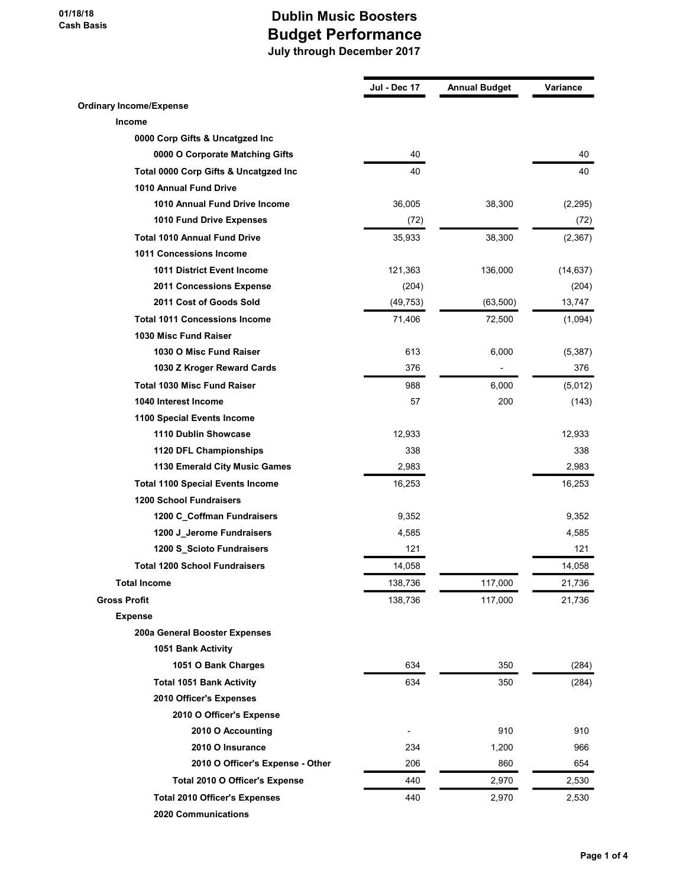|                                         | Jul - Dec 17 | <b>Annual Budget</b> | Variance  |
|-----------------------------------------|--------------|----------------------|-----------|
| <b>Ordinary Income/Expense</b>          |              |                      |           |
| <b>Income</b>                           |              |                      |           |
| 0000 Corp Gifts & Uncatgzed Inc         |              |                      |           |
| 0000 O Corporate Matching Gifts         | 40           |                      | 40        |
| Total 0000 Corp Gifts & Uncatgzed Inc   | 40           |                      | 40        |
| 1010 Annual Fund Drive                  |              |                      |           |
| 1010 Annual Fund Drive Income           | 36,005       | 38,300               | (2, 295)  |
| 1010 Fund Drive Expenses                | (72)         |                      | (72)      |
| <b>Total 1010 Annual Fund Drive</b>     | 35,933       | 38,300               | (2, 367)  |
| 1011 Concessions Income                 |              |                      |           |
| <b>1011 District Event Income</b>       | 121,363      | 136,000              | (14, 637) |
| 2011 Concessions Expense                | (204)        |                      | (204)     |
| 2011 Cost of Goods Sold                 | (49, 753)    | (63, 500)            | 13,747    |
| <b>Total 1011 Concessions Income</b>    | 71,406       | 72,500               | (1,094)   |
| 1030 Misc Fund Raiser                   |              |                      |           |
| 1030 O Misc Fund Raiser                 | 613          | 6,000                | (5, 387)  |
| 1030 Z Kroger Reward Cards              | 376          | -                    | 376       |
| <b>Total 1030 Misc Fund Raiser</b>      | 988          | 6,000                | (5,012)   |
| 1040 Interest Income                    | 57           | 200                  | (143)     |
| 1100 Special Events Income              |              |                      |           |
| 1110 Dublin Showcase                    | 12,933       |                      | 12,933    |
| 1120 DFL Championships                  | 338          |                      | 338       |
| 1130 Emerald City Music Games           | 2,983        |                      | 2,983     |
| <b>Total 1100 Special Events Income</b> | 16,253       |                      | 16,253    |
| <b>1200 School Fundraisers</b>          |              |                      |           |
| 1200 C_Coffman Fundraisers              | 9,352        |                      | 9,352     |
| 1200 J_Jerome Fundraisers               | 4,585        |                      | 4,585     |
| 1200 S_Scioto Fundraisers               | 121          |                      | 121       |
| <b>Total 1200 School Fundraisers</b>    | 14,058       |                      | 14,058    |
| <b>Total Income</b>                     | 138,736      | 117,000              | 21,736    |
| <b>Gross Profit</b>                     | 138,736      | 117,000              | 21,736    |
| <b>Expense</b>                          |              |                      |           |
| 200a General Booster Expenses           |              |                      |           |
| 1051 Bank Activity                      |              |                      |           |
| 1051 O Bank Charges                     | 634          | 350                  | (284)     |
| <b>Total 1051 Bank Activity</b>         | 634          | 350                  | (284)     |
| 2010 Officer's Expenses                 |              |                      |           |
| 2010 O Officer's Expense                |              |                      |           |
| 2010 O Accounting                       |              | 910                  | 910       |
| 2010 O Insurance                        | 234          | 1,200                | 966       |
| 2010 O Officer's Expense - Other        | 206          | 860                  | 654       |
| Total 2010 O Officer's Expense          | 440          | 2,970                | 2,530     |
| <b>Total 2010 Officer's Expenses</b>    | 440          | 2,970                | 2,530     |
| 2020 Communications                     |              |                      |           |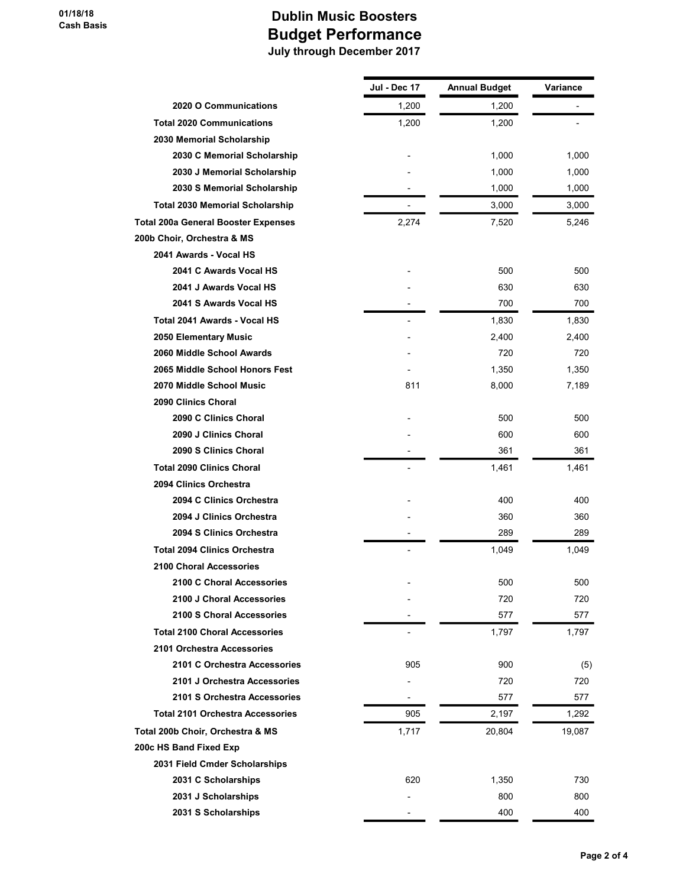|                                            | Jul - Dec 17 | <b>Annual Budget</b> | Variance |
|--------------------------------------------|--------------|----------------------|----------|
| 2020 O Communications                      | 1,200        | 1,200                |          |
| <b>Total 2020 Communications</b>           | 1,200        | 1,200                |          |
| 2030 Memorial Scholarship                  |              |                      |          |
| 2030 C Memorial Scholarship                |              | 1,000                | 1,000    |
| 2030 J Memorial Scholarship                |              | 1,000                | 1,000    |
| 2030 S Memorial Scholarship                |              | 1,000                | 1,000    |
| <b>Total 2030 Memorial Scholarship</b>     |              | 3,000                | 3,000    |
| <b>Total 200a General Booster Expenses</b> | 2,274        | 7,520                | 5,246    |
| 200b Choir, Orchestra & MS                 |              |                      |          |
| 2041 Awards - Vocal HS                     |              |                      |          |
| 2041 C Awards Vocal HS                     |              | 500                  | 500      |
| 2041 J Awards Vocal HS                     |              | 630                  | 630      |
| 2041 S Awards Vocal HS                     |              | 700                  | 700      |
| Total 2041 Awards - Vocal HS               |              | 1,830                | 1,830    |
| 2050 Elementary Music                      |              | 2,400                | 2,400    |
| 2060 Middle School Awards                  |              | 720                  | 720      |
| 2065 Middle School Honors Fest             |              | 1,350                | 1,350    |
| 2070 Middle School Music                   | 811          | 8,000                | 7,189    |
| 2090 Clinics Choral                        |              |                      |          |
| 2090 C Clinics Choral                      |              | 500                  | 500      |
| 2090 J Clinics Choral                      |              | 600                  | 600      |
| 2090 S Clinics Choral                      |              | 361                  | 361      |
| <b>Total 2090 Clinics Choral</b>           |              | 1,461                | 1,461    |
| 2094 Clinics Orchestra                     |              |                      |          |
| 2094 C Clinics Orchestra                   |              | 400                  | 400      |
| 2094 J Clinics Orchestra                   |              | 360                  | 360      |
| 2094 S Clinics Orchestra                   |              | 289                  | 289      |
| <b>Total 2094 Clinics Orchestra</b>        |              | 1,049                | 1,049    |
| <b>2100 Choral Accessories</b>             |              |                      |          |
| 2100 C Choral Accessories                  |              | 500                  | 500      |
| 2100 J Choral Accessories                  |              | 720                  | 720      |
| 2100 S Choral Accessories                  |              | 577                  | 577      |
| <b>Total 2100 Choral Accessories</b>       |              | 1,797                | 1,797    |
| 2101 Orchestra Accessories                 |              |                      |          |
| 2101 C Orchestra Accessories               | 905          | 900                  | (5)      |
| 2101 J Orchestra Accessories               |              | 720                  | 720      |
| 2101 S Orchestra Accessories               |              | 577                  | 577      |
| <b>Total 2101 Orchestra Accessories</b>    | 905          | 2,197                | 1,292    |
| Total 200b Choir, Orchestra & MS           | 1,717        | 20,804               | 19,087   |
| 200c HS Band Fixed Exp                     |              |                      |          |
| 2031 Field Cmder Scholarships              |              |                      |          |
| 2031 C Scholarships                        | 620          | 1,350                | 730      |
| 2031 J Scholarships                        |              | 800                  | 800      |
| 2031 S Scholarships                        |              | 400                  | 400      |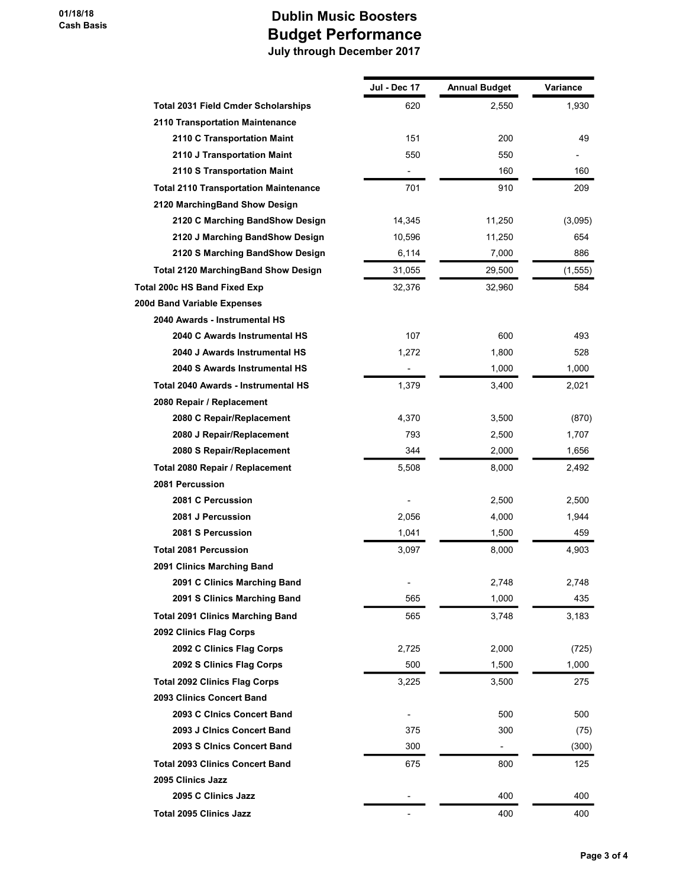|                                              | Jul - Dec 17             | <b>Annual Budget</b>     | Variance |
|----------------------------------------------|--------------------------|--------------------------|----------|
| <b>Total 2031 Field Cmder Scholarships</b>   | 620                      | 2,550                    | 1,930    |
| 2110 Transportation Maintenance              |                          |                          |          |
| 2110 C Transportation Maint                  | 151                      | 200                      | 49       |
| 2110 J Transportation Maint                  | 550                      | 550                      |          |
| 2110 S Transportation Maint                  |                          | 160                      | 160      |
| <b>Total 2110 Transportation Maintenance</b> | 701                      | 910                      | 209      |
| 2120 MarchingBand Show Design                |                          |                          |          |
| 2120 C Marching BandShow Design              | 14,345                   | 11,250                   | (3,095)  |
| 2120 J Marching BandShow Design              | 10,596                   | 11,250                   | 654      |
| 2120 S Marching BandShow Design              | 6,114                    | 7,000                    | 886      |
| <b>Total 2120 MarchingBand Show Design</b>   | 31,055                   | 29,500                   | (1, 555) |
| Total 200c HS Band Fixed Exp                 | 32,376                   | 32,960                   | 584      |
| 200d Band Variable Expenses                  |                          |                          |          |
| 2040 Awards - Instrumental HS                |                          |                          |          |
| 2040 C Awards Instrumental HS                | 107                      | 600                      | 493      |
| 2040 J Awards Instrumental HS                | 1,272                    | 1,800                    | 528      |
| 2040 S Awards Instrumental HS                | $\overline{\phantom{0}}$ | 1,000                    | 1,000    |
| Total 2040 Awards - Instrumental HS          | 1,379                    | 3,400                    | 2,021    |
| 2080 Repair / Replacement                    |                          |                          |          |
| 2080 C Repair/Replacement                    | 4,370                    | 3,500                    | (870)    |
| 2080 J Repair/Replacement                    | 793                      | 2,500                    | 1,707    |
| 2080 S Repair/Replacement                    | 344                      | 2,000                    | 1,656    |
| Total 2080 Repair / Replacement              | 5,508                    | 8,000                    | 2,492    |
| 2081 Percussion                              |                          |                          |          |
| 2081 C Percussion                            |                          | 2,500                    | 2,500    |
| 2081 J Percussion                            | 2,056                    | 4,000                    | 1,944    |
| 2081 S Percussion                            | 1,041                    | 1,500                    | 459      |
| <b>Total 2081 Percussion</b>                 | 3,097                    | 8,000                    | 4,903    |
| 2091 Clinics Marching Band                   |                          |                          |          |
| 2091 C Clinics Marching Band                 |                          | 2,748                    | 2,748    |
| 2091 S Clinics Marching Band                 | 565                      | 1,000                    | 435      |
| <b>Total 2091 Clinics Marching Band</b>      | 565                      | 3,748                    | 3,183    |
| 2092 Clinics Flag Corps                      |                          |                          |          |
| 2092 C Clinics Flag Corps                    | 2,725                    | 2,000                    | (725)    |
| 2092 S Clinics Flag Corps                    | 500                      | 1,500                    | 1,000    |
| <b>Total 2092 Clinics Flag Corps</b>         | 3,225                    | 3,500                    | 275      |
| 2093 Clinics Concert Band                    |                          |                          |          |
| 2093 C Cinics Concert Band                   |                          | 500                      | 500      |
| 2093 J Clnics Concert Band                   | 375                      | 300                      | (75)     |
| 2093 S Clnics Concert Band                   | 300                      | $\overline{\phantom{a}}$ | (300)    |
| <b>Total 2093 Clinics Concert Band</b>       | 675                      | 800                      | 125      |
| 2095 Clinics Jazz                            |                          |                          |          |
| 2095 C Clinics Jazz                          |                          | 400                      | 400      |
| <b>Total 2095 Clinics Jazz</b>               | $\overline{a}$           | 400                      | 400      |